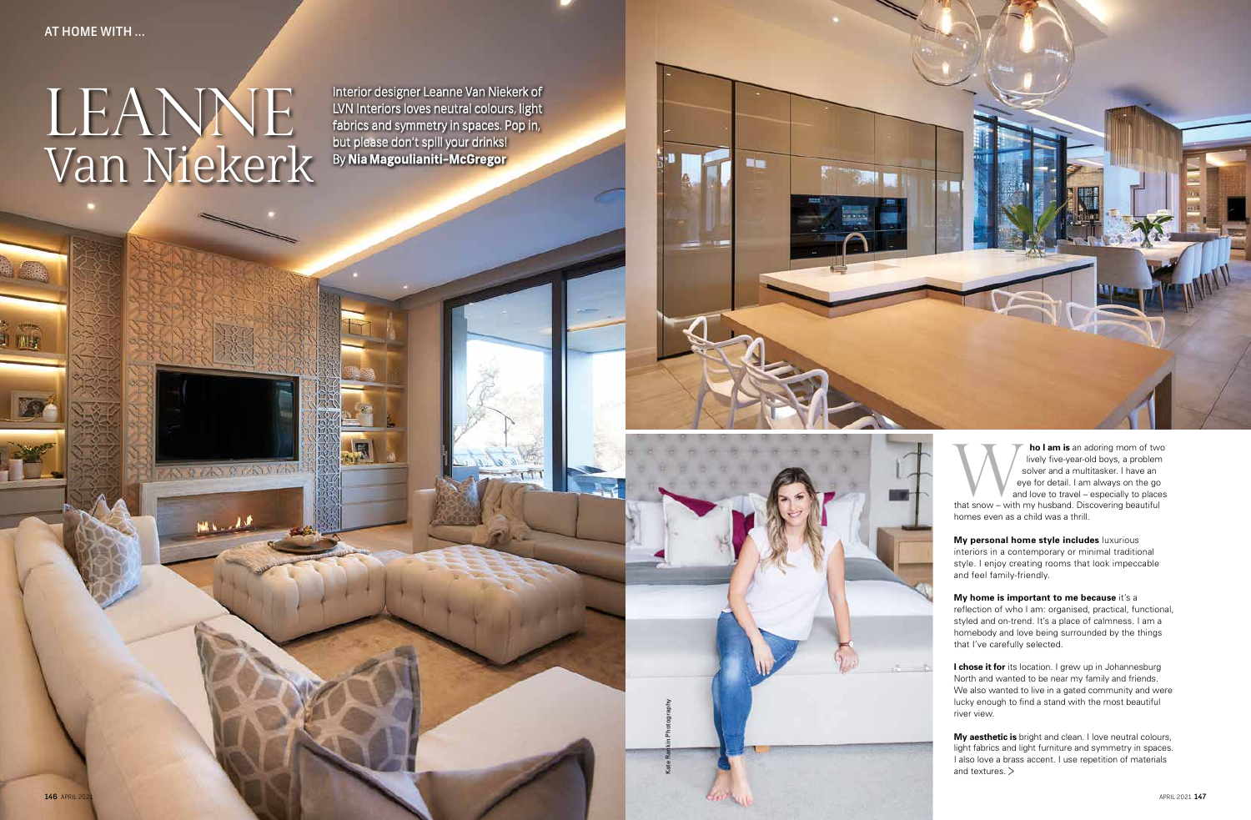**ho I am is** an adoring mom of two lively five-year-old boys, a problem solver and a multitasker. I have an eye for detail. I am always on the go and love to travel – especially to places **the I am is** an adoring mom of two lively five-year-old boys, a problem solver and a multitasker. I have an eye for detail. I am always on the go and love to travel – especially to place that snow – with my husband. Disco

## AT HOME WITH ...

U AB

homes even as a child was a thrill.

**My personal home style includes** luxurious interiors in a contemporary or minimal traditional style. I enjoy creating rooms that look impeccable and feel family-friendly.

**I chose it for** its location. I grew up in Johannesburg North and wanted to be near my family and friends. We also wanted to live in a gated community and were lucky enough to find a stand with the most beautiful river view.

**My home is important to me because** it's a reflection of who I am: organised, practical, functional, styled and on-trend. It's a place of calmness. I am a homebody and love being surrounded by the things that I've carefully selected.

**My aesthetic is** bright and clean. I love neutral colours, light fabrics and light furniture and symmetry in spaces. I also love a brass accent. I use repetition of materials and textures. >

## LEANNE Van Niekerk

**MARCANECAN** 

**MALLAS** 

Interior designer Leanne Van Niekerk of LVN Interiors loves neutral colours, light fabrics and symmetry in spaces. Pop in, but please don't spill your drinks! By **Nia Magoulianiti-McGregor**

Kate Rankin Photography

-

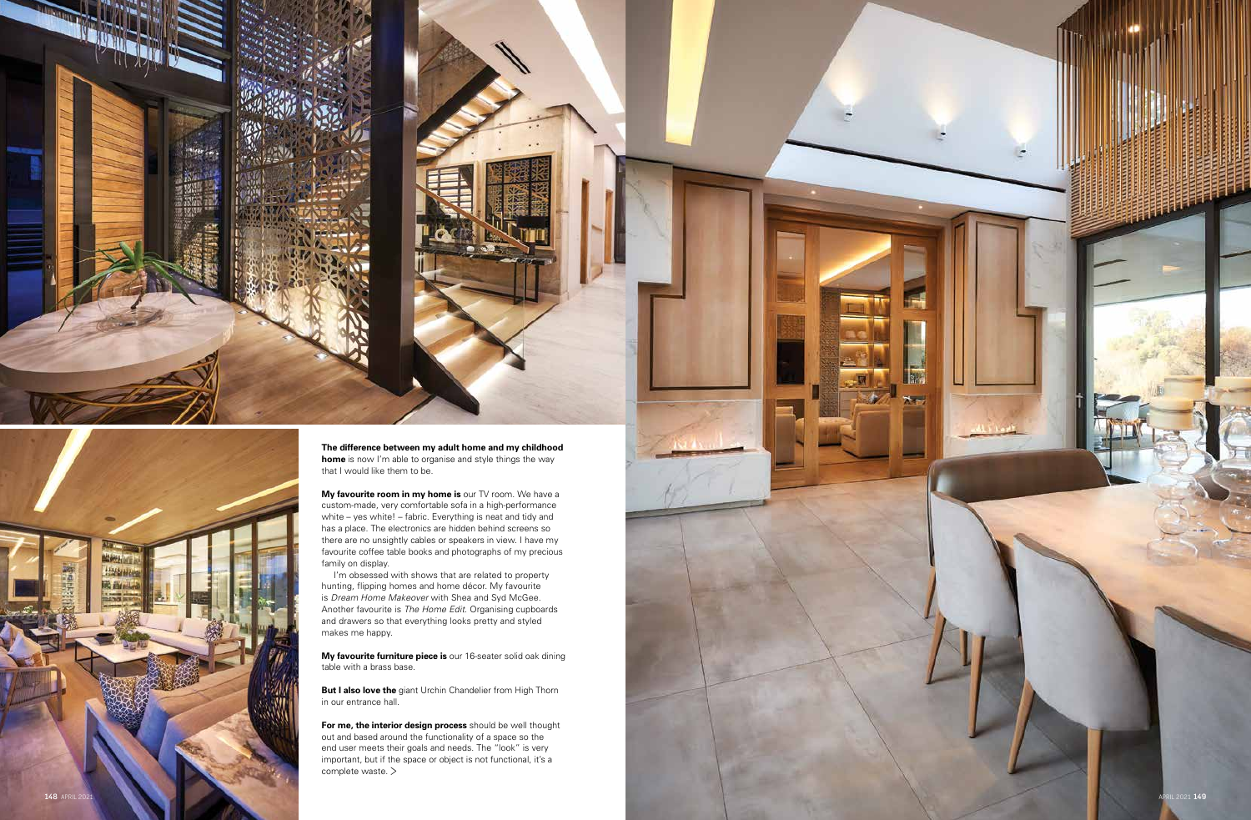

**A FAIR CANAL RIG BACK** 



踘

**The difference between my adult home and my childhood home** is now I'm able to organise and style things the way that I would like them to be.

**My favourite room in my home is** our TV room. We have a custom-made, very comfortable sofa in a high-performance white – yes white! – fabric. Everything is neat and tidy and has a place. The electronics are hidden behind screens so there are no unsightly cables or speakers in view. I have my favourite coffee table books and photographs of my precious family on display.

I'm obsessed with shows that are related to property hunting, flipping homes and home décor. My favourite is *Dream Home Makeover* with Shea and Syd McGee. Another favourite is *The Home Edit*. Organising cupboards and drawers so that everything looks pretty and styled makes me happy.

**My favourite furniture piece is** our 16-seater solid oak dining table with a brass base.

**But I also love the** giant Urchin Chandelier from High Thorn in our entrance hall.

**For me, the interior design process** should be well thought out and based around the functionality of a space so the end user meets their goals and needs. The "look" is very important, but if the space or object is not functional, it's a complete waste. >